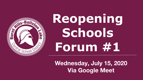

# **Reopening Schools Forum #1**

**Wednesday, July 15, 2020 Via Google Meet**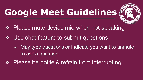### **Google Meet Guidelines**



- Please mute device mic when not speaking
- ❖ Use chat feature to submit questions
	- ➢ May type questions or indicate you want to unmute to ask a question
- Please be polite & refrain from interrupting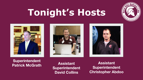

### **Tonight's Hosts**







#### **Superintendent Patrick McGrath Assistant**

**Superintendent David Collins**

**Assistant Superintendent Christopher Abdoo**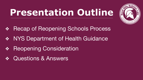### **Presentation Outline**



- **Recap of Reopening Schools Process**
- ❖ NYS Department of Health Guidance
- ❖ Reopening Consideration
- ❖ Questions & Answers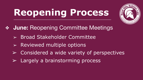

- ❖ **June:** Reopening Committee Meetings
	- ➢ Broad Stakeholder Committee
	- ➢ Reviewed multiple options
	- ➢ Considered a wide variety of perspectives
	- $\triangleright$  Largely a brainstorming process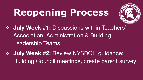

- ❖ **July Week #1:** Discussions within Teachers' Association, Administration & Building Leadership Teams
- ❖ **July Week #2:** Review NYSDOH guidance; Building Council meetings, create parent survey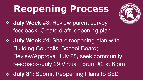- ❖ **July Week #3:** Review parent survey feedback; Create draft reopening plan
- **July Week #4: Share reopening plan with** Building Councils, School Board; Review/Approval July 28, seek community feedback--July 29 Virtual Forum #2 at 6 pm
- **July 31: Submit Reopening Plans to SED**

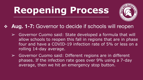

#### ❖ **Aug. 1-7:** Governor to decide if schools will reopen

- $\triangleright$  Governor Cuomo said: State developed a formula that will allow schools to reopen this fall in regions that are in phase four and have a COVID-19 infection rate of 5% or less on a rolling 14-day average.
- ➢ Governor Cuomo said: Different regions are in different phases. If the infection rate goes over 9% using a 7-day average, then we hit an emergency stop button.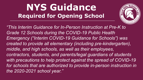

*"This Interim Guidance for In-Person Instruction at Pre-K to Grade 12 Schools during the COVID-19 Public Health Emergency ("Interim COVID-19 Guidance for Schools") was created to provide all elementary (including pre-kindergarten), middle, and high schools, as well as their employees, contractors, students, and parents/legal guardians of students with precautions to help protect against the spread of COVID-19*  for schools that are authorized to provide in-person instruction in *the 2020-2021 school year."*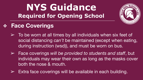

#### ❖ **Face Coverings**

- $\triangleright$  To be worn at all times by all individuals when six feet of social distancing *can't* be maintained (except when eating, during instruction (wsd)), and must be worn on bus.
- ➢ Face coverings *will be provided to students and staff*, but individuals may wear their own as long as the masks cover both the nose & mouth.
- $\triangleright$  Extra face coverings will be available in each building.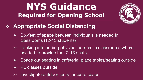

- ❖ **Appropriate Social Distancing** 
	- $\triangleright$  Six-feet of space between individuals is needed in classrooms (12-13 students)
	- $\triangleright$  Looking into adding physical barriers in classrooms where needed to provide for 12-13 seats.
	- ➢ Space out seating in cafeteria, place tables/seating outside
	- $\triangleright$  PE classes outside
	- $\triangleright$  Investigate outdoor tents for extra space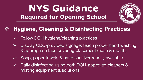

#### ❖ **Hygiene, Cleaning & Disinfecting Practices**

- $\triangleright$  Follow DOH hygiene/cleaning practices
- $\triangleright$  Display CDC-provided signage; teach proper hand washing & appropriate face covering placement (nose & mouth)
- Soap, paper towels & hand sanitizer readily available
- Daily disinfecting using both DOH-approved cleaners & misting equipment & solutions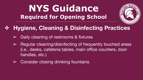

#### ❖ **Hygiene, Cleaning & Disinfecting Practices**

- Daily cleaning of restrooms & fixtures
- ➢ Regular cleaning/disinfecting of frequently touched areas (i.e., desks, cafeteria tables, main office counters, door handles, etc.)
- $\triangleright$  Consider closing drinking fountains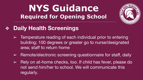

#### ❖ **Daily Health Screenings**

- $\triangleright$  Temperature reading of each individual prior to entering building; 100 degrees or greater go to nurse/designated area; staff to return home
- $\triangleright$  Remote/electronic screening questionnaire for staff, daily
- $\triangleright$  Rely on at-home checks, too. If child has fever, please do not send him/her to school. We will communicate this regularly.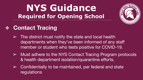

#### ❖ **Contact Tracing**

- $\triangleright$  The district must notify the state and local health departments when they've been informed of any staff member or student who tests positive for COVID-19.
- $\triangleright$  Must adhere to the NYS Contact Tracing Program protocols & health department isolation/quarantine efforts.
- ➢ Confidentially to be maintained, per federal and state regulations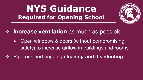

**Increase ventilation** as much as possible

- ➢ Open windows & doors (without compromising safety) to increase airflow in buildings and rooms.
- ❖ Rigorous and ongoing **cleaning and disinfecting**.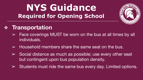

#### ❖ **Transportation**

- $\triangleright$  Face coverings MUST be worn on the bus at all times by all individuals.
- $\triangleright$  Household members share the same seat on the bus.
- $\triangleright$  Social distance as much as possible; use every other seat but contingent upon bus population density.
- ➢ Students must ride the same bus every day. Limited options.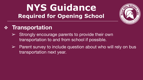

#### ❖ **Transportation**

- Strongly encourage parents to provide their own transportation to and from school if possible.
- $\triangleright$  Parent survey to include question about who will rely on bus transportation next year.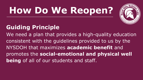

#### **Guiding Principle**

We need a plan that provides a high-quality education consistent with the guidelines provided to us by the NYSDOH that maximizes **academic benefit** and promotes the **social-emotional and physical well being** of all of our students and staff.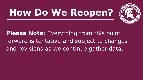

**Please Note:** Everything from this point forward is tentative and subject to changes and revisions as we continue gather data.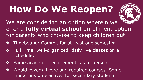

We are considering an option wherein we offer a **fully virtual school** enrollment option for parents who choose to keep children out.

- ❖ Timebound: Commit for at least one semester.
- ❖ Full Time, well-organized, daily live classes on a schedule.
- ❖ Same academic requirements as in-person.
- ❖ Would cover all core and required courses. Some limitations on electives for secondary students.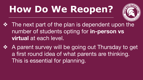

- ❖ The next part of the plan is dependent upon the number of students opting for **in-person vs virtual** at each level.
- ❖ A parent survey will be going out Thursday to get a first round idea of what parents are thinking. This is essential for planning.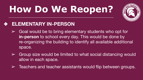

#### ❖ **ELEMENTARY IN-PERSON**

- $\triangleright$  Goal would be to bring elementary students who opt for **in-person** to school every day. This would be done by re-organizing the building to identify all available additional space.
- $\triangleright$  Group size would be limited to what social distancing would allow in each space.
- $\triangleright$  Teachers and teacher assistants would flip between groups.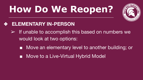

#### ❖ **ELEMENTARY IN-PERSON**

- $\triangleright$  If unable to accomplish this based on numbers we would look at two options:
	- Move an elementary level to another building; or
	- Move to a Live-Virtual Hybrid Model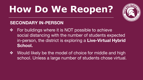

#### **SECONDARY IN-PERSON**

- ❖ For buildings where it is NOT possible to achieve social distancing with the number of students expected in-person, the district is exploring a **Live-Virtual Hybrid School.**
- ❖ Would likely be the model of choice for middle and high school. Unless a large number of students chose virtual.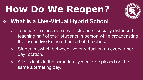

#### ❖ **What is a Live-Virtual Hybrid School**

- $\geq$  Teachers in classrooms with students, socially distanced; teaching half of their students in person while broadcasting the lesson live to the other half of the class.
- $\geq$  Students switch between live or virtual on an every other day rotation.
- $\ge$  All students in the same family would be placed on the same alternating day.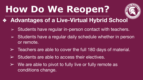

#### ❖ **Advantages of a Live-Virtual Hybrid School**

- $\geq$  Students have regular in-person contact with teachers.
- $\geq$  Students have a regular daily schedule whether in person or remote.
- $\geq$  Teachers are able to cover the full 180 days of material.
- $\triangleright$  Students are able to access their electives.
- $\triangleright$  We are able to pivot to fully live or fully remote as conditions change.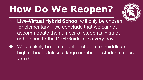

- ◆ Live-Virtual Hybrid School will only be chosen for elementary if we conclude that we cannot accommodate the number of students in strict adherence to the DoH Guidelines every day.
- ❖ Would likely be the model of choice for middle and high school. Unless a large number of students chose virtual.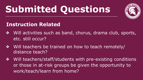

#### **Instruction Related**

- ❖ Will activities such as band, chorus, drama club, sports, etc. still occur?
- ❖ Will teachers be trained on how to teach remotely/ distance teach?
- ❖ Will teachers/staff/students with pre-existing conditions or those in at-risk groups be given the opportunity to work/teach/learn from home?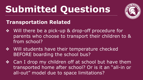

#### **Transportation Related**

- ❖ Will there be a pick-up & drop-off procedure for parents who choose to transport their children to & from school?
- ❖ Will students have their temperature checked BEFORE boarding the school bus?
- ❖ Can I drop my children off at school but have them transported home after school? Or is it an "all-in or all-out" model due to space limitations?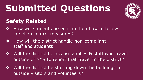

#### **Safety Related**

- ❖ How will students be educated on how to follow infection control measures?
- ◆ How will the district handle non-compliant staff and students?
- ❖ Will the district be asking families & staff who travel outside of NYS to report that travel to the district?
- ❖ Will the district be shutting down the buildings to outside visitors and volunteers?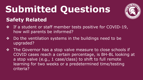

#### **Safety Related**

- ❖ If a student or staff member tests positive for COVID-19, how will parents be informed?
- ❖ Do the ventilation systems in the buildings need to be upgraded?
- ❖ The Governor has a stop valve measure to close schools if COVID cases reach a certain percentage, is BH-BL looking at a stop valve (e.g., 1 case/class) to shift to full remote learning for two weeks or a predetermined time/testing criteria?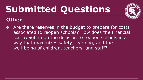

#### **Other**

Are there reserves in the budget to prepare for costs associated to reopen schools? How does the financial cost weigh in on the decision to reopen schools in a way that maximizes safety, learning, and the well-being of children, teachers, and staff?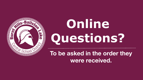

# **Online Questions?**

**To be asked in the order they were received.**